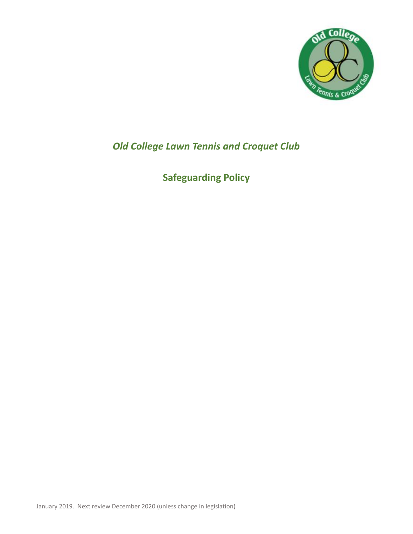

## *Old College Lawn Tennis and Croquet Club*

# **Safeguarding Policy**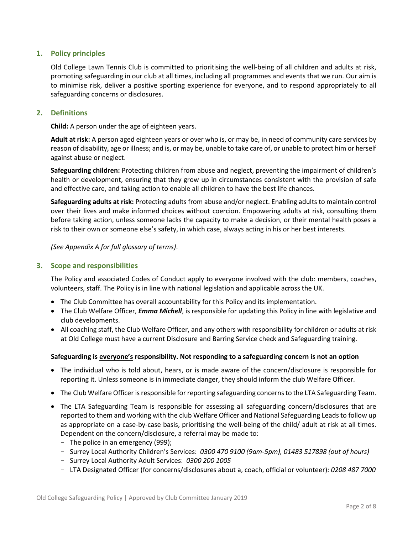## **1. Policy principles**

Old College Lawn Tennis Club is committed to prioritising the well-being of all children and adults at risk, promoting safeguarding in our club at all times, including all programmes and events that we run. Our aim is to minimise risk, deliver a positive sporting experience for everyone, and to respond appropriately to all safeguarding concerns or disclosures.

## **2. Definitions**

**Child:** A person under the age of eighteen years.

**Adult at risk:** A person aged eighteen years or over who is, or may be, in need of community care services by reason of disability, age or illness; and is, or may be, unable to take care of, or unable to protect him or herself against abuse or neglect.

**Safeguarding children:** Protecting children from abuse and neglect, preventing the impairment of children's health or development, ensuring that they grow up in circumstances consistent with the provision of safe and effective care, and taking action to enable all children to have the best life chances.

**Safeguarding adults at risk:** Protecting adults from abuse and/or neglect. Enabling adults to maintain control over their lives and make informed choices without coercion. Empowering adults at risk, consulting them before taking action, unless someone lacks the capacity to make a decision, or their mental health poses a risk to their own or someone else's safety, in which case, always acting in his or her best interests.

*(See Appendix A for full glossary of terms)*.

## **3. Scope and responsibilities**

The Policy and associated Codes of Conduct apply to everyone involved with the club: members, coaches, volunteers, staff. The Policy is in line with national legislation and applicable across the UK.

- The Club Committee has overall accountability for this Policy and its implementation.
- The Club Welfare Officer, *Emma Michell*, is responsible for updating this Policy in line with legislative and club developments.
- All coaching staff, the Club Welfare Officer, and any others with responsibility for children or adults at risk at Old College must have a current Disclosure and Barring Service check and Safeguarding training.

#### **Safeguarding is everyone's responsibility. Not responding to a safeguarding concern is not an option**

- The individual who is told about, hears, or is made aware of the concern/disclosure is responsible for reporting it. Unless someone is in immediate danger, they should inform the club Welfare Officer.
- The Club Welfare Officer is responsible for reporting safeguarding concerns to the LTA Safeguarding Team.
- The LTA Safeguarding Team is responsible for assessing all safeguarding concern/disclosures that are reported to them and working with the club Welfare Officer and National Safeguarding Leads to follow up as appropriate on a case-by-case basis, prioritising the well-being of the child/ adult at risk at all times. Dependent on the concern/disclosure, a referral may be made to:
	- The police in an emergency (999);
	- Surrey Local Authority Children's Services: *0300 470 9100 (9am-5pm), 01483 517898 (out of hours)*
	- Surrey Local Authority Adult Services: *0300 200 1005*
	- LTA Designated Officer (for concerns/disclosures about a, coach, official or volunteer)*: 0208 487 7000*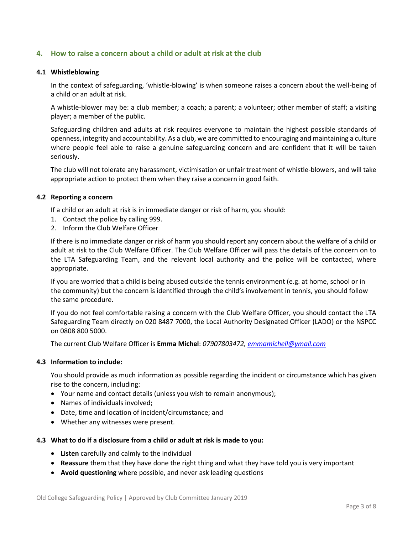## **4. How to raise a concern about a child or adult at risk at the club**

#### **4.1 Whistleblowing**

In the context of safeguarding, 'whistle-blowing' is when someone raises a concern about the well-being of a child or an adult at risk.

A whistle-blower may be: a club member; a coach; a parent; a volunteer; other member of staff; a visiting player; a member of the public.

Safeguarding children and adults at risk requires everyone to maintain the highest possible standards of openness, integrity and accountability. As a club, we are committed to encouraging and maintaining a culture where people feel able to raise a genuine safeguarding concern and are confident that it will be taken seriously.

The club will not tolerate any harassment, victimisation or unfair treatment of whistle-blowers, and will take appropriate action to protect them when they raise a concern in good faith.

#### **4.2 Reporting a concern**

If a child or an adult at risk is in immediate danger or risk of harm, you should:

- 1. Contact the police by calling 999.
- 2. Inform the Club Welfare Officer

If there is no immediate danger or risk of harm you should report any concern about the welfare of a child or adult at risk to the Club Welfare Officer. The Club Welfare Officer will pass the details of the concern on to the LTA Safeguarding Team, and the relevant local authority and the police will be contacted, where appropriate.

If you are worried that a child is being abused outside the tennis environment (e.g. at home, school or in the community) but the concern is identified through the child's involvement in tennis, you should follow the same procedure.

If you do not feel comfortable raising a concern with the Club Welfare Officer, you should contact the LTA Safeguarding Team directly on 020 8487 7000, the Local Authority Designated Officer (LADO) or the NSPCC on 0808 800 5000.

The current Club Welfare Officer is **Emma Michel**: *07907803472, [emmamichell@ymail.com](mailto:emmamichell@ymail.com)*

#### **4.3 Information to include:**

You should provide as much information as possible regarding the incident or circumstance which has given rise to the concern, including:

- Your name and contact details (unless you wish to remain anonymous);
- Names of individuals involved;
- Date, time and location of incident/circumstance; and
- Whether any witnesses were present.

#### **4.3 What to do if a disclosure from a child or adult at risk is made to you:**

- **Listen** carefully and calmly to the individual
- **Reassure** them that they have done the right thing and what they have told you is very important
- **Avoid questioning** where possible, and never ask leading questions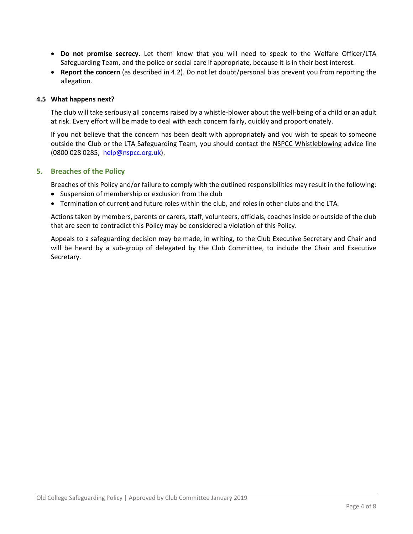- **Do not promise secrecy**. Let them know that you will need to speak to the Welfare Officer/LTA Safeguarding Team, and the police or social care if appropriate, because it is in their best interest.
- **Report the concern** (as described in 4.2). Do not let doubt/personal bias prevent you from reporting the allegation.

#### **4.5 What happens next?**

The club will take seriously all concerns raised by a whistle-blower about the well-being of a child or an adult at risk. Every effort will be made to deal with each concern fairly, quickly and proportionately.

If you not believe that the concern has been dealt with appropriately and you wish to speak to someone outside the Club or the LTA Safeguarding Team, you should contact the NSPCC Whistleblowing advice line (0800 028 0285, [help@nspcc.org.uk\)](mailto:help@nspcc.org.uk).

#### **5. Breaches of the Policy**

Breaches of this Policy and/or failure to comply with the outlined responsibilities may result in the following:

- Suspension of membership or exclusion from the club
- Termination of current and future roles within the club, and roles in other clubs and the LTA*.*

Actions taken by members, parents or carers, staff, volunteers, officials, coaches inside or outside of the club that are seen to contradict this Policy may be considered a violation of this Policy.

Appeals to a safeguarding decision may be made, in writing, to the Club Executive Secretary and Chair and will be heard by a sub-group of delegated by the Club Committee, to include the Chair and Executive Secretary.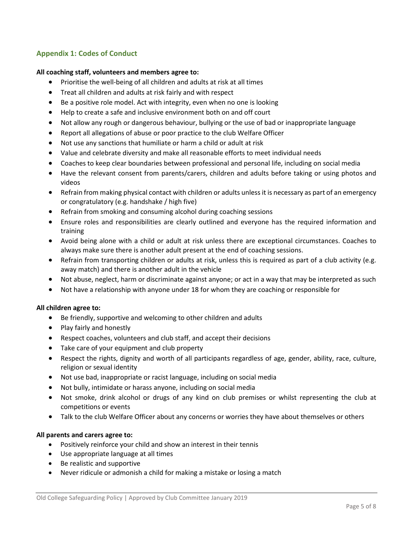## **Appendix 1: Codes of Conduct**

#### **All coaching staff, volunteers and members agree to:**

- Prioritise the well-being of all children and adults at risk at all times
- Treat all children and adults at risk fairly and with respect
- Be a positive role model. Act with integrity, even when no one is looking
- Help to create a safe and inclusive environment both on and off court
- Not allow any rough or dangerous behaviour, bullying or the use of bad or inappropriate language
- Report all allegations of abuse or poor practice to the club Welfare Officer
- Not use any sanctions that humiliate or harm a child or adult at risk
- Value and celebrate diversity and make all reasonable efforts to meet individual needs
- Coaches to keep clear boundaries between professional and personal life, including on social media
- Have the relevant consent from parents/carers, children and adults before taking or using photos and videos
- Refrain from making physical contact with children or adults unless it is necessary as part of an emergency or congratulatory (e.g. handshake / high five)
- Refrain from smoking and consuming alcohol during coaching sessions
- Ensure roles and responsibilities are clearly outlined and everyone has the required information and training
- Avoid being alone with a child or adult at risk unless there are exceptional circumstances. Coaches to always make sure there is another adult present at the end of coaching sessions.
- Refrain from transporting children or adults at risk, unless this is required as part of a club activity (e.g. away match) and there is another adult in the vehicle
- Not abuse, neglect, harm or discriminate against anyone; or act in a way that may be interpreted as such
- Not have a relationship with anyone under 18 for whom they are coaching or responsible for

#### **All children agree to:**

- Be friendly, supportive and welcoming to other children and adults
- Play fairly and honestly
- Respect coaches, volunteers and club staff, and accept their decisions
- Take care of your equipment and club property
- Respect the rights, dignity and worth of all participants regardless of age, gender, ability, race, culture, religion or sexual identity
- Not use bad, inappropriate or racist language, including on social media
- Not bully, intimidate or harass anyone, including on social media
- Not smoke, drink alcohol or drugs of any kind on club premises or whilst representing the club at competitions or events
- Talk to the club Welfare Officer about any concerns or worries they have about themselves or others

#### **All parents and carers agree to:**

- Positively reinforce your child and show an interest in their tennis
- Use appropriate language at all times
- Be realistic and supportive
- Never ridicule or admonish a child for making a mistake or losing a match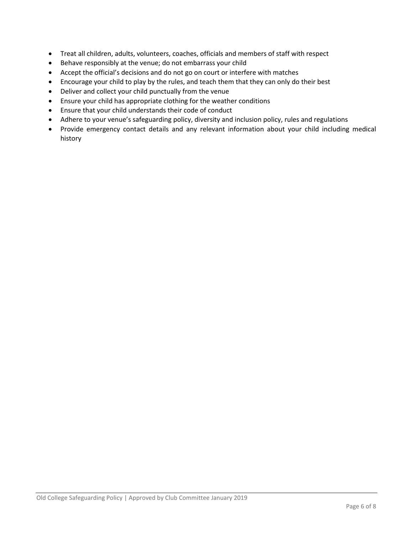- Treat all children, adults, volunteers, coaches, officials and members of staff with respect
- Behave responsibly at the venue; do not embarrass your child
- Accept the official's decisions and do not go on court or interfere with matches
- Encourage your child to play by the rules, and teach them that they can only do their best
- Deliver and collect your child punctually from the venue
- Ensure your child has appropriate clothing for the weather conditions
- Ensure that your child understands their code of conduct
- Adhere to your venue's safeguarding policy, diversity and inclusion policy, rules and regulations
- Provide emergency contact details and any relevant information about your child including medical history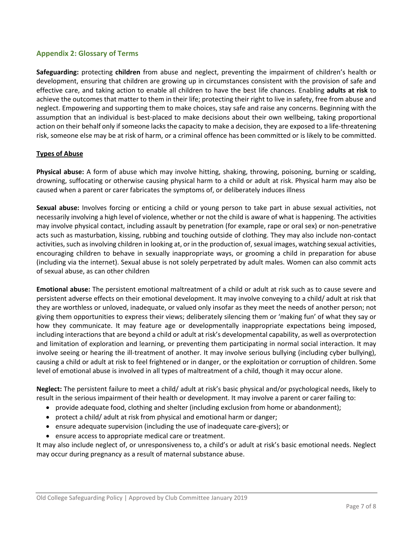## **Appendix 2: Glossary of Terms**

**Safeguarding:** protecting **children** from abuse and neglect, preventing the impairment of children's health or development, ensuring that children are growing up in circumstances consistent with the provision of safe and effective care, and taking action to enable all children to have the best life chances. Enabling **adults at risk** to achieve the outcomes that matter to them in their life; protecting their right to live in safety, free from abuse and neglect. Empowering and supporting them to make choices, stay safe and raise any concerns. Beginning with the assumption that an individual is best-placed to make decisions about their own wellbeing, taking proportional action on their behalf only if someone lacks the capacity to make a decision, they are exposed to a life-threatening risk, someone else may be at risk of harm, or a criminal offence has been committed or is likely to be committed.

## **Types of Abuse**

**Physical abuse:** A form of abuse which may involve hitting, shaking, throwing, poisoning, burning or scalding, drowning, suffocating or otherwise causing physical harm to a child or adult at risk. Physical harm may also be caused when a parent or carer fabricates the symptoms of, or deliberately induces illness

**Sexual abuse:** Involves forcing or enticing a child or young person to take part in abuse sexual activities, not necessarily involving a high level of violence, whether or not the child is aware of what is happening. The activities may involve physical contact, including assault by penetration (for example, rape or oral sex) or non-penetrative acts such as masturbation, kissing, rubbing and touching outside of clothing. They may also include non-contact activities, such as involving children in looking at, or in the production of, sexual images, watching sexual activities, encouraging children to behave in sexually inappropriate ways, or grooming a child in preparation for abuse (including via the internet). Sexual abuse is not solely perpetrated by adult males. Women can also commit acts of sexual abuse, as can other children

**Emotional abuse:** The persistent emotional maltreatment of a child or adult at risk such as to cause severe and persistent adverse effects on their emotional development. It may involve conveying to a child/ adult at risk that they are worthless or unloved, inadequate, or valued only insofar as they meet the needs of another person; not giving them opportunities to express their views; deliberately silencing them or 'making fun' of what they say or how they communicate. It may feature age or developmentally inappropriate expectations being imposed, including interactions that are beyond a child or adult at risk's developmental capability, as well as overprotection and limitation of exploration and learning, or preventing them participating in normal social interaction. It may involve seeing or hearing the ill-treatment of another. It may involve serious bullying (including cyber bullying), causing a child or adult at risk to feel frightened or in danger, or the exploitation or corruption of children. Some level of emotional abuse is involved in all types of maltreatment of a child, though it may occur alone.

**Neglect:** The persistent failure to meet a child/ adult at risk's basic physical and/or psychological needs, likely to result in the serious impairment of their health or development. It may involve a parent or carer failing to:

- provide adequate food, clothing and shelter (including exclusion from home or abandonment);
- protect a child/ adult at risk from physical and emotional harm or danger;
- ensure adequate supervision (including the use of inadequate care-givers); or
- ensure access to appropriate medical care or treatment.

It may also include neglect of, or unresponsiveness to, a child's or adult at risk's basic emotional needs. Neglect may occur during pregnancy as a result of maternal substance abuse.